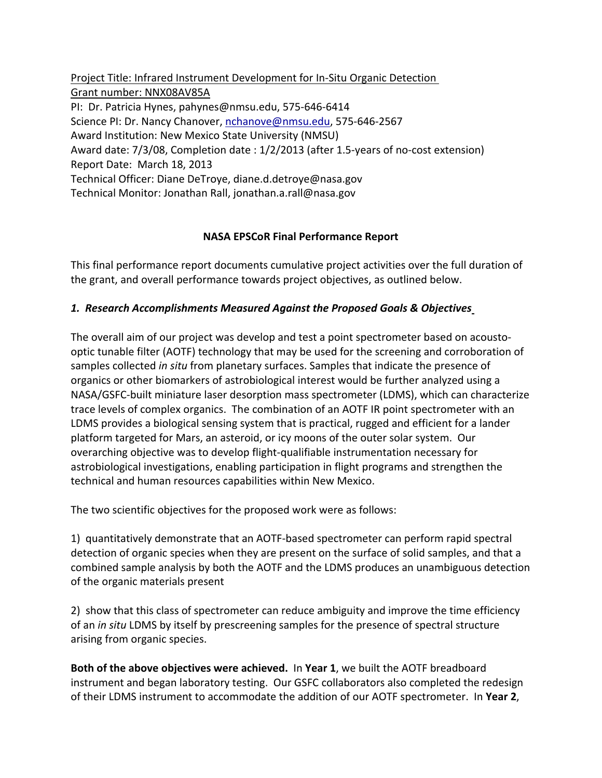Project Title: Infrared Instrument Development for In‐Situ Organic Detection Grant number: NNX08AV85A PI: Dr. Patricia Hynes, pahynes@nmsu.edu, 575‐646‐6414 Science PI: Dr. Nancy Chanover, nchanove@nmsu.edu, 575‐646‐2567 Award Institution: New Mexico State University (NMSU) Award date: 7/3/08, Completion date : 1/2/2013 (after 1.5‐years of no‐cost extension) Report Date: March 18, 2013 Technical Officer: Diane DeTroye, diane.d.detroye@nasa.gov Technical Monitor: Jonathan Rall, jonathan.a.rall@nasa.gov

### **NASA EPSCoR Final Performance Report**

This final performance report documents cumulative project activities over the full duration of the grant, and overall performance towards project objectives, as outlined below.

## *1. Research Accomplishments Measured Against the Proposed Goals & Objectives*

The overall aim of our project was develop and test a point spectrometer based on acousto‐ optic tunable filter (AOTF) technology that may be used for the screening and corroboration of samples collected *in situ* from planetary surfaces. Samples that indicate the presence of organics or other biomarkers of astrobiological interest would be further analyzed using a NASA/GSFC‐built miniature laser desorption mass spectrometer (LDMS), which can characterize trace levels of complex organics. The combination of an AOTF IR point spectrometer with an LDMS provides a biological sensing system that is practical, rugged and efficient for a lander platform targeted for Mars, an asteroid, or icy moons of the outer solar system. Our overarching objective was to develop flight‐qualifiable instrumentation necessary for astrobiological investigations, enabling participation in flight programs and strengthen the technical and human resources capabilities within New Mexico.

The two scientific objectives for the proposed work were as follows:

1) quantitatively demonstrate that an AOTF‐based spectrometer can perform rapid spectral detection of organic species when they are present on the surface of solid samples, and that a combined sample analysis by both the AOTF and the LDMS produces an unambiguous detection of the organic materials present

2) show that this class of spectrometer can reduce ambiguity and improve the time efficiency of an *in situ* LDMS by itself by prescreening samples for the presence of spectral structure arising from organic species.

**Both of the above objectives were achieved.** In **Year 1**, we built the AOTF breadboard instrument and began laboratory testing. Our GSFC collaborators also completed the redesign of their LDMS instrument to accommodate the addition of our AOTF spectrometer. In **Year 2**,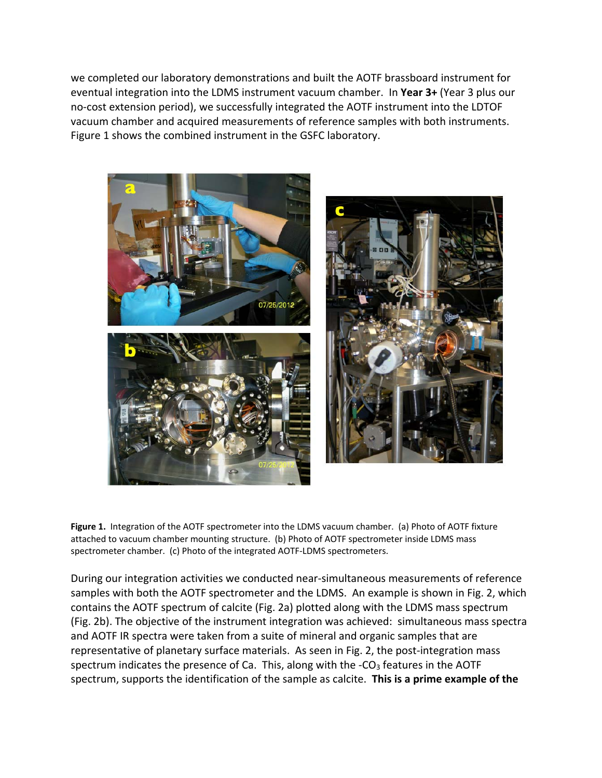we completed our laboratory demonstrations and built the AOTF brassboard instrument for eventual integration into the LDMS instrument vacuum chamber. In **Year 3+** (Year 3 plus our no-cost extension period), we successfully integrated the AOTF instrument into the LDTOF vacuum chamber and acquired measurements of reference samples with both instruments. Figure 1 shows the combined instrument in the GSFC laboratory.



**Figure 1.** Integration of the AOTF spectrometer into the LDMS vacuum chamber. (a) Photo of AOTF fixture attached to vacuum chamber mounting structure. (b) Photo of AOTF spectrometer inside LDMS mass spectrometer chamber. (c) Photo of the integrated AOTF-LDMS spectrometers.

During our integration activities we conducted near‐simultaneous measurements of reference samples with both the AOTF spectrometer and the LDMS. An example is shown in Fig. 2, which contains the AOTF spectrum of calcite (Fig. 2a) plotted along with the LDMS mass spectrum (Fig. 2b). The objective of the instrument integration was achieved: simultaneous mass spectra and AOTF IR spectra were taken from a suite of mineral and organic samples that are representative of planetary surface materials. As seen in Fig. 2, the post-integration mass spectrum indicates the presence of Ca. This, along with the  $-CO<sub>3</sub>$  features in the AOTF spectrum, supports the identification of the sample as calcite. **This is a prime example of the**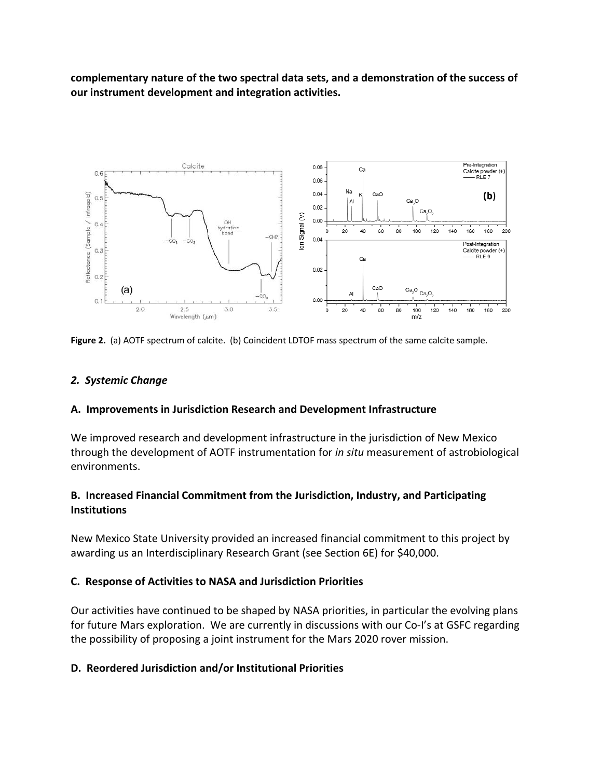**complementary nature of the two spectral data sets, and a demonstration of the success of our instrument development and integration activities.**



**Figure 2.** (a) AOTF spectrum of calcite. (b) Coincident LDTOF mass spectrum of the same calcite sample.

### *2. Systemic Change*

#### **A. Improvements in Jurisdiction Research and Development Infrastructure**

We improved research and development infrastructure in the jurisdiction of New Mexico through the development of AOTF instrumentation for *in situ* measurement of astrobiological environments.

### **B. Increased Financial Commitment from the Jurisdiction, Industry, and Participating Institutions**

New Mexico State University provided an increased financial commitment to this project by awarding us an Interdisciplinary Research Grant (see Section 6E) for \$40,000.

### **C. Response of Activities to NASA and Jurisdiction Priorities**

Our activities have continued to be shaped by NASA priorities, in particular the evolving plans for future Mars exploration. We are currently in discussions with our Co-I's at GSFC regarding the possibility of proposing a joint instrument for the Mars 2020 rover mission.

### **D. Reordered Jurisdiction and/or Institutional Priorities**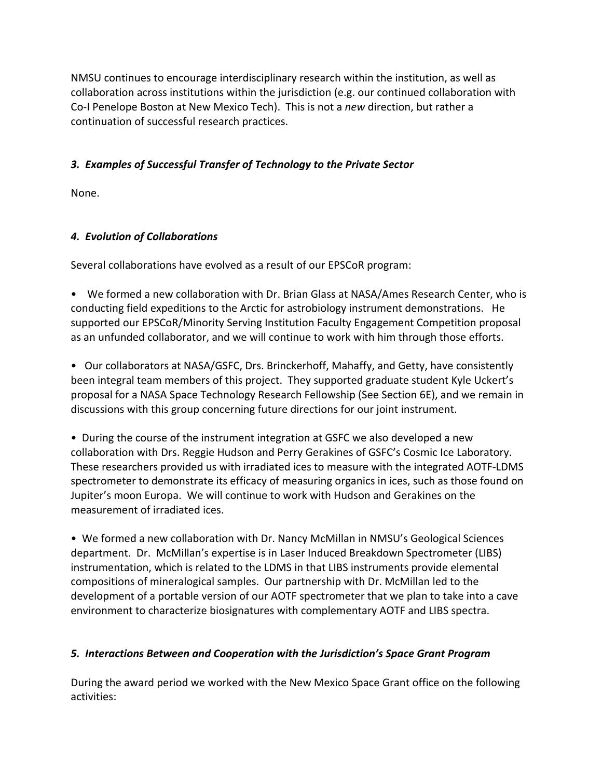NMSU continues to encourage interdisciplinary research within the institution, as well as collaboration across institutions within the jurisdiction (e.g. our continued collaboration with Co‐I Penelope Boston at New Mexico Tech). This is not a *new* direction, but rather a continuation of successful research practices.

## *3. Examples of Successful Transfer of Technology to the Private Sector*

None.

## *4. Evolution of Collaborations*

Several collaborations have evolved as a result of our EPSCoR program:

• We formed a new collaboration with Dr. Brian Glass at NASA/Ames Research Center, who is conducting field expeditions to the Arctic for astrobiology instrument demonstrations. He supported our EPSCoR/Minority Serving Institution Faculty Engagement Competition proposal as an unfunded collaborator, and we will continue to work with him through those efforts.

• Our collaborators at NASA/GSFC, Drs. Brinckerhoff, Mahaffy, and Getty, have consistently been integral team members of this project. They supported graduate student Kyle Uckert's proposal for a NASA Space Technology Research Fellowship (See Section 6E), and we remain in discussions with this group concerning future directions for our joint instrument.

• During the course of the instrument integration at GSFC we also developed a new collaboration with Drs. Reggie Hudson and Perry Gerakines of GSFC's Cosmic Ice Laboratory. These researchers provided us with irradiated ices to measure with the integrated AOTF‐LDMS spectrometer to demonstrate its efficacy of measuring organics in ices, such as those found on Jupiter's moon Europa. We will continue to work with Hudson and Gerakines on the measurement of irradiated ices.

• We formed a new collaboration with Dr. Nancy McMillan in NMSU's Geological Sciences department. Dr. McMillan's expertise is in Laser Induced Breakdown Spectrometer (LIBS) instrumentation, which is related to the LDMS in that LIBS instruments provide elemental compositions of mineralogical samples. Our partnership with Dr. McMillan led to the development of a portable version of our AOTF spectrometer that we plan to take into a cave environment to characterize biosignatures with complementary AOTF and LIBS spectra.

# *5. Interactions Between and Cooperation with the Jurisdiction's Space Grant Program*

During the award period we worked with the New Mexico Space Grant office on the following activities: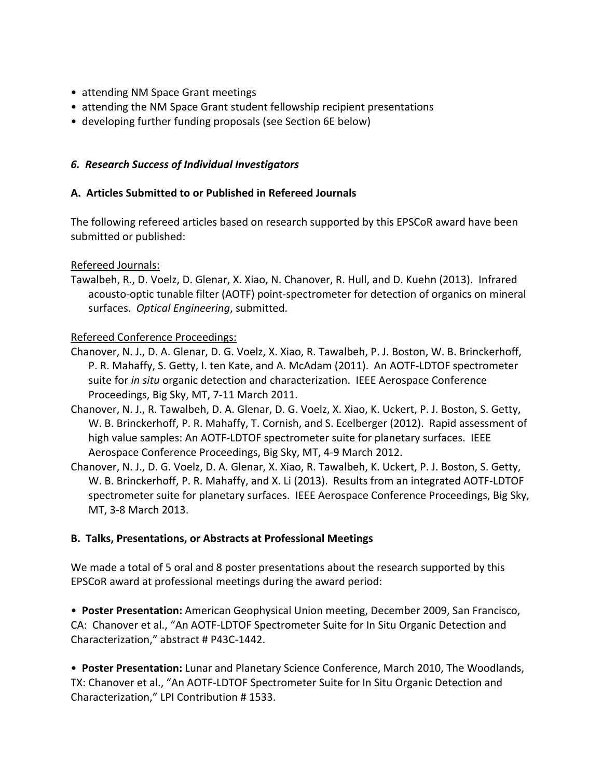- attending NM Space Grant meetings
- attending the NM Space Grant student fellowship recipient presentations
- developing further funding proposals (see Section 6E below)

### *6. Research Success of Individual Investigators*

### **A. Articles Submitted to or Published in Refereed Journals**

The following refereed articles based on research supported by this EPSCoR award have been submitted or published:

### Refereed Journals:

Tawalbeh, R., D. Voelz, D. Glenar, X. Xiao, N. Chanover, R. Hull, and D. Kuehn (2013). Infrared acousto‐optic tunable filter (AOTF) point‐spectrometer for detection of organics on mineral surfaces. *Optical Engineering*, submitted.

### Refereed Conference Proceedings:

- Chanover, N. J., D. A. Glenar, D. G. Voelz, X. Xiao, R. Tawalbeh, P. J. Boston, W. B. Brinckerhoff, P. R. Mahaffy, S. Getty, I. ten Kate, and A. McAdam (2011). An AOTF‐LDTOF spectrometer suite for *in situ* organic detection and characterization. IEEE Aerospace Conference Proceedings, Big Sky, MT, 7‐11 March 2011.
- Chanover, N. J., R. Tawalbeh, D. A. Glenar, D. G. Voelz, X. Xiao, K. Uckert, P. J. Boston, S. Getty, W. B. Brinckerhoff, P. R. Mahaffy, T. Cornish, and S. Ecelberger (2012). Rapid assessment of high value samples: An AOTF‐LDTOF spectrometer suite for planetary surfaces. IEEE Aerospace Conference Proceedings, Big Sky, MT, 4‐9 March 2012.
- Chanover, N. J., D. G. Voelz, D. A. Glenar, X. Xiao, R. Tawalbeh, K. Uckert, P. J. Boston, S. Getty, W. B. Brinckerhoff, P. R. Mahaffy, and X. Li (2013). Results from an integrated AOTF‐LDTOF spectrometer suite for planetary surfaces. IEEE Aerospace Conference Proceedings, Big Sky, MT, 3‐8 March 2013.

### **B. Talks, Presentations, or Abstracts at Professional Meetings**

We made a total of 5 oral and 8 poster presentations about the research supported by this EPSCoR award at professional meetings during the award period:

• **Poster Presentation:** American Geophysical Union meeting, December 2009, San Francisco, CA: Chanover et al., "An AOTF‐LDTOF Spectrometer Suite for In Situ Organic Detection and Characterization," abstract # P43C‐1442.

• **Poster Presentation:** Lunar and Planetary Science Conference, March 2010, The Woodlands, TX: Chanover et al., "An AOTF‐LDTOF Spectrometer Suite for In Situ Organic Detection and Characterization," LPI Contribution # 1533.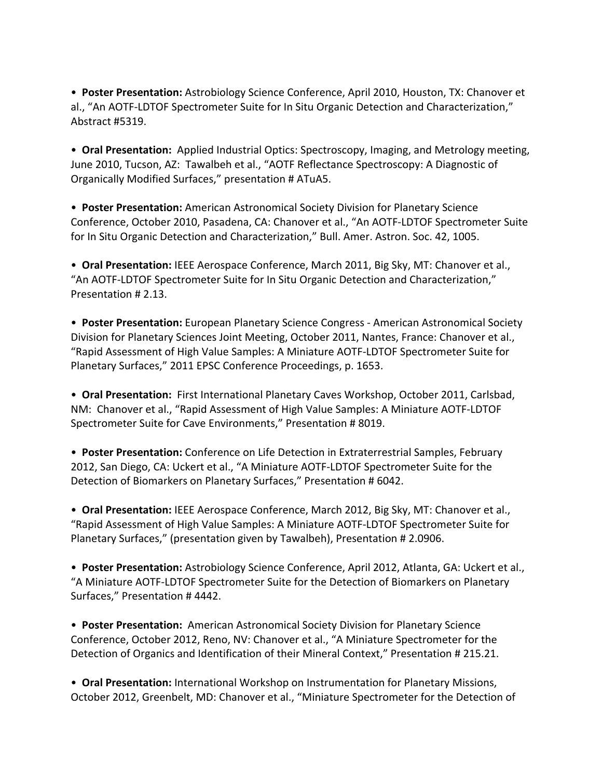• **Poster Presentation:** Astrobiology Science Conference, April 2010, Houston, TX: Chanover et al., "An AOTF‐LDTOF Spectrometer Suite for In Situ Organic Detection and Characterization," Abstract #5319.

• **Oral Presentation:** Applied Industrial Optics: Spectroscopy, Imaging, and Metrology meeting, June 2010, Tucson, AZ: Tawalbeh et al., "AOTF Reflectance Spectroscopy: A Diagnostic of Organically Modified Surfaces," presentation # ATuA5.

• **Poster Presentation:** American Astronomical Society Division for Planetary Science Conference, October 2010, Pasadena, CA: Chanover et al., "An AOTF‐LDTOF Spectrometer Suite for In Situ Organic Detection and Characterization," Bull. Amer. Astron. Soc. 42, 1005.

• **Oral Presentation:** IEEE Aerospace Conference, March 2011, Big Sky, MT: Chanover et al., "An AOTF‐LDTOF Spectrometer Suite for In Situ Organic Detection and Characterization," Presentation # 2.13.

• **Poster Presentation:** European Planetary Science Congress ‐ American Astronomical Society Division for Planetary Sciences Joint Meeting, October 2011, Nantes, France: Chanover et al., "Rapid Assessment of High Value Samples: A Miniature AOTF‐LDTOF Spectrometer Suite for Planetary Surfaces," 2011 EPSC Conference Proceedings, p. 1653.

• **Oral Presentation:** First International Planetary Caves Workshop, October 2011, Carlsbad, NM: Chanover et al., "Rapid Assessment of High Value Samples: A Miniature AOTF‐LDTOF Spectrometer Suite for Cave Environments," Presentation # 8019.

• **Poster Presentation:** Conference on Life Detection in Extraterrestrial Samples, February 2012, San Diego, CA: Uckert et al., "A Miniature AOTF‐LDTOF Spectrometer Suite for the Detection of Biomarkers on Planetary Surfaces," Presentation # 6042.

• **Oral Presentation:** IEEE Aerospace Conference, March 2012, Big Sky, MT: Chanover et al., "Rapid Assessment of High Value Samples: A Miniature AOTF‐LDTOF Spectrometer Suite for Planetary Surfaces," (presentation given by Tawalbeh), Presentation # 2.0906.

• **Poster Presentation:** Astrobiology Science Conference, April 2012, Atlanta, GA: Uckert et al., "A Miniature AOTF‐LDTOF Spectrometer Suite for the Detection of Biomarkers on Planetary Surfaces," Presentation # 4442.

• **Poster Presentation:** American Astronomical Society Division for Planetary Science Conference, October 2012, Reno, NV: Chanover et al., "A Miniature Spectrometer for the Detection of Organics and Identification of their Mineral Context," Presentation # 215.21.

• **Oral Presentation:** International Workshop on Instrumentation for Planetary Missions, October 2012, Greenbelt, MD: Chanover et al., "Miniature Spectrometer for the Detection of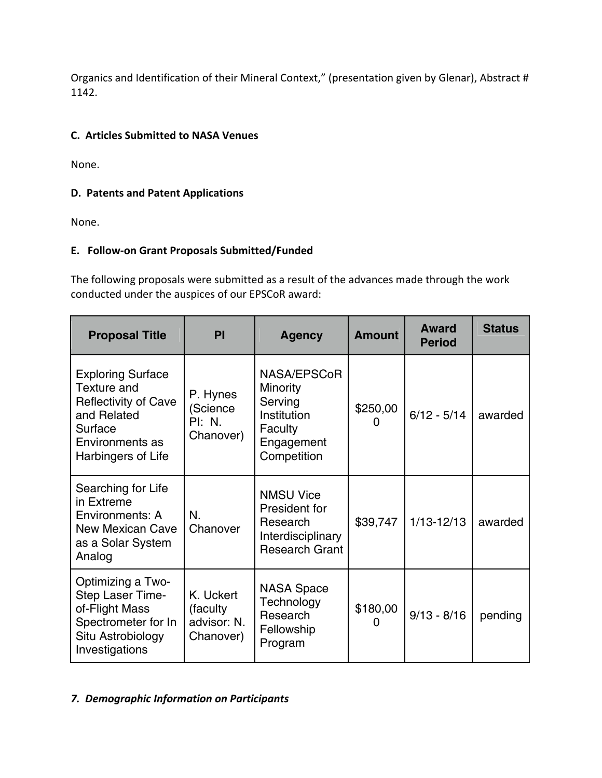Organics and Identification of their Mineral Context," (presentation given by Glenar), Abstract # 1142.

## **C. Articles Submitted to NASA Venues**

None.

### **D. Patents and Patent Applications**

None.

## **E. Follow‐on Grant Proposals Submitted/Funded**

The following proposals were submitted as a result of the advances made through the work conducted under the auspices of our EPSCoR award:

| <b>Proposal Title</b>                                                                                                                     | PI                                                 | <b>Agency</b>                                                                                    | <b>Amount</b> | Award<br><b>Period</b> | <b>Status</b> |
|-------------------------------------------------------------------------------------------------------------------------------------------|----------------------------------------------------|--------------------------------------------------------------------------------------------------|---------------|------------------------|---------------|
| <b>Exploring Surface</b><br>Texture and<br><b>Reflectivity of Cave</b><br>and Related<br>Surface<br>Environments as<br>Harbingers of Life | P. Hynes<br>(Science<br><b>PI: N.</b><br>Chanover) | NASA/EPSCoR<br><b>Minority</b><br>Serving<br>Institution<br>Faculty<br>Engagement<br>Competition | \$250,00      | $6/12 - 5/14$          | awarded       |
| Searching for Life<br>in Extreme<br>Environments: A<br><b>New Mexican Cave</b><br>as a Solar System<br>Analog                             | N.<br>Chanover                                     | <b>NMSU Vice</b><br>President for<br>Research<br>Interdisciplinary<br><b>Research Grant</b>      | \$39,747      | $1/13 - 12/13$         | awarded       |
| Optimizing a Two-<br>Step Laser Time-<br>of-Flight Mass<br>Spectrometer for In<br>Situ Astrobiology<br>Investigations                     | K. Uckert<br>(faculty)<br>advisor: N.<br>Chanover) | <b>NASA Space</b><br>Technology<br>Research<br>Fellowship<br>Program                             | \$180,00      | $9/13 - 8/16$          | pending       |

## *7. Demographic Information on Participants*